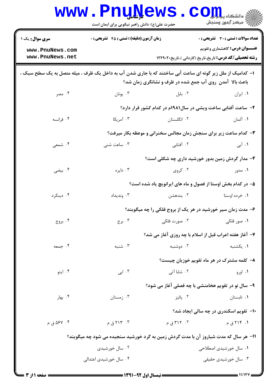|                                                                                                                                                                      | <b>www.PnuNews</b><br>حضرت علی(ع): دانش راهبر نیکویی برای ایمان است |               | CO<br>چ دانشگاه پ <b>یای</b><br>چ<br>رِ آھرڪز آزمون وسنڊش                                             |  |  |
|----------------------------------------------------------------------------------------------------------------------------------------------------------------------|---------------------------------------------------------------------|---------------|-------------------------------------------------------------------------------------------------------|--|--|
| <b>سری سوال :</b> یک ۱                                                                                                                                               | <b>زمان آزمون (دقیقه) : تستی : 45 قشریحی : 0</b>                    |               | <b>تعداد سوالات : تستی : 30 ٪ تشریحی : 0</b>                                                          |  |  |
| www.PnuNews.com<br>www.PnuNews.net                                                                                                                                   |                                                                     |               | <b>عنـــوان درس:</b> گاهشماری وتقویم<br><b>رشته تحصیلی/کد درس:</b> تاریخ،تاریخ (کاردانی )،تاریخ۲۲۹۰۲۰ |  |  |
| ۱– کدامیک از ملل زیر گونه ای ساعت آبی ساختند که با جاری شدن آب به داخل یک ظرف ، میله متصل به یک سطح سبک ،<br>باعث بالا آمدن روی آب جمع شده در ظرف و نشانگری زمان شد؟ |                                                                     |               |                                                                                                       |  |  |
| ۰۴ مصر                                                                                                                                                               | ۰۳ يونان                                                            | ۰۲ بابل       | ۰۱ ایران                                                                                              |  |  |
|                                                                                                                                                                      |                                                                     |               | ۲- ساعت آفتابی ساخت ویشی در سال۱۹۸۱م در کدام کشور قرار دارد؟                                          |  |  |
| ۰۴ فرانسه                                                                                                                                                            | ۰۳ آمریکا                                                           | ۰۲ انگلستان   | ۰۱ آلمان                                                                                              |  |  |
|                                                                                                                                                                      | ۰۳ کدام ساعت زیر برای سنجش زمان مجالس سخنرانی و موعظه بکار میرفت؟   |               |                                                                                                       |  |  |
| ۰۴ شمعی                                                                                                                                                              | ۰۳ ساعت شنی                                                         | ۰۲ آفتابی     | ۰۱ آبی                                                                                                |  |  |
|                                                                                                                                                                      |                                                                     |               | ۴- مدار گردش زمین بدور خورشید داری چه شکلی است؟                                                       |  |  |
| ۰۴ بیضی                                                                                                                                                              | ۰۳ دايره                                                            | ۰۲ کروی       | ۰۱ مدور                                                                                               |  |  |
|                                                                                                                                                                      |                                                                     |               | ۵– در کدام بخش اوستا از فصول و ماه های ایرانویچ یاد شده است؟                                          |  |  |
| ۰۴ دينکرد                                                                                                                                                            | ۰۳ ونديداد                                                          | ۰۲ بندهشن     | ۰۱ خرده اوستا                                                                                         |  |  |
|                                                                                                                                                                      |                                                                     |               | ۶- مدت زمان سیر خورشید در هر یک از بروج فلکی را چه میگویند؟                                           |  |  |
| ۰۴ بروج                                                                                                                                                              | ۰۳ برج                                                              | ۰۲ صورت فلکي  | ۰۱ صور فلک <i>ی</i>                                                                                   |  |  |
|                                                                                                                                                                      |                                                                     |               | ۷- آغاز هفته اعراب قبل از اسلام با چه روزی آغاز می شد؟                                                |  |  |
| ۰۴ جمعه                                                                                                                                                              | ۰۳ شنبه                                                             | ۰۲ دوشنبه     | ۰۱ یکشنبه                                                                                             |  |  |
|                                                                                                                                                                      |                                                                     |               | ۸– کلمه مشترک در هر ماه تقویم خوزیان چیست؟                                                            |  |  |
| ۰۴ ایتو                                                                                                                                                              | ۰۳. ابی                                                             | ۰۲ شابا آتی   | ۰۱ اورو                                                                                               |  |  |
|                                                                                                                                                                      |                                                                     |               | ۹- سال نو در تقویم هخامنشی با چه فصلی آغاز می شود؟                                                    |  |  |
| ۰۴ بهار                                                                                                                                                              | ۰۳ زمستان                                                           | ۰۲ يائيز      | ۰۱ تابستان                                                                                            |  |  |
|                                                                                                                                                                      |                                                                     |               | <b>۰۱- تقویم اسکندری در چه سالی ایجاد شد؟</b>                                                         |  |  |
| ۰۴ کا ۵۶۷ ق م                                                                                                                                                        | ۰۳ تا ۲۱۳ ق م $\cdot$                                               | ۰۲ تا ۳۱۲ ق م | ۰۱ ۲۱۴ق م                                                                                             |  |  |
| 1۱- هر سال که مدت شباروز آن با مدت گردش زمین به گرد خورشید سنجیده می شود چه میگویند؟                                                                                 |                                                                     |               |                                                                                                       |  |  |
|                                                                                                                                                                      | ۰۲ سال خورشیدی                                                      |               | ۰۱ سال خورشیدی اصطلاحی                                                                                |  |  |
|                                                                                                                                                                      | ۰۴ سال خورشیدی اعتدالی                                              |               | ۰۳ سال خورشیدی حقیقی                                                                                  |  |  |
|                                                                                                                                                                      |                                                                     |               |                                                                                                       |  |  |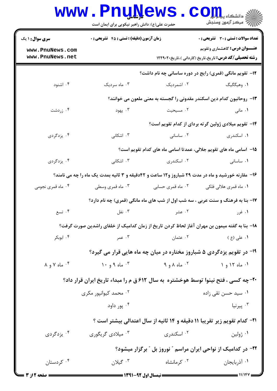|                                                                                                   | <b>www.PnuNews</b><br>حضرت علی(ع): دانش راهبر نیکویی برای ایمان است                           |                              | COIL<br>رُ⁄ کرڪز آزمون وسنڊش                                                                             |  |  |  |
|---------------------------------------------------------------------------------------------------|-----------------------------------------------------------------------------------------------|------------------------------|----------------------------------------------------------------------------------------------------------|--|--|--|
| <b>سری سوال : ۱ یک</b>                                                                            | <b>زمان آزمون (دقیقه) : تستی : 45 تشریحی : 0</b>                                              |                              | تعداد سوالات : تستي : 30 ٪ تشريحي : 0                                                                    |  |  |  |
| www.PnuNews.com<br>www.PnuNews.net                                                                |                                                                                               |                              | <b>عنـــوان درس:</b> گاهشماری وتقویم<br><b>رشته تحصیلی/کد درس:</b> تاریخ،تاریخ (کاردانی )،تاریخ۲۲۹۰۲۰ ۱۲ |  |  |  |
|                                                                                                   |                                                                                               |                              | <b>۱۲</b> - تقویم مانگی (قمری) رایج در دوره ساسانی چه نام داشت؟                                          |  |  |  |
| ۰۴ اشنود                                                                                          | ۰۳ ماه سردیک                                                                                  | ۰۲ اشمردیک                   | ٠١ وهيگگيگ                                                                                               |  |  |  |
|                                                                                                   |                                                                                               |                              | ۱۳- روحانیون کدام دین اسکندر مقدونی را گجسته به معنی ملعون می خوانند؟                                    |  |  |  |
| ۰۴ زردشت                                                                                          | ۰۳ يهود                                                                                       | ۰۲ مسیحیت                    | ۰۱ مانی                                                                                                  |  |  |  |
|                                                                                                   |                                                                                               |                              | ۱۴– تقویم میلادی ژولین گرته بردای از کدام تقویم است؟                                                     |  |  |  |
| ۰۴ یزدگردی                                                                                        | ۰۳ اشکانی                                                                                     | ۰۲ ساسانی                    | ۰۱ اسکندری                                                                                               |  |  |  |
|                                                                                                   |                                                                                               |                              | 1۵– اسامی ماه های تقویم جلالی، عمدتا اسامی ماه های کدام تقویم است؟                                       |  |  |  |
| ۰۴ یزدگردی                                                                                        | ۰۳ اشکانی                                                                                     | ۰۲ اسکندری                   | ٠١. ساسانى                                                                                               |  |  |  |
| ۱۶- مقارنه خورشید و ماه در مدت ۲۹ شباروز و۱۲ ساعت و ۴۲دقیقه و ۳ ثانیه بمدت یک ماه را چه می نامند؟ |                                                                                               |                              |                                                                                                          |  |  |  |
| ۰۴ ماه قمری نجومی                                                                                 | ۰۳ ماه قمری وسطی                                                                              | ۰۲ ماه قمری حسابی            | ۰۱ ماه قمری هلالی فلکی                                                                                   |  |  |  |
|                                                                                                   |                                                                                               |                              | ۱۷- بنا به فرهنگ و سنت عربی ، سه شب اول از شب های ماه مانگی (قمری) چه نام دارد؟                          |  |  |  |
| ۰۴ تسع                                                                                            | ۰۳ نفل                                                                                        | ۰۲ عشر                       | ۰۱ غرر                                                                                                   |  |  |  |
|                                                                                                   | ۱۸− بنا به گفته میمون بن مهران آغاز لحاظ کردن تاریخ از زمان کدامیک از خلفای راشدین صورت گرفت؟ |                              |                                                                                                          |  |  |  |
| ۰۴ ابوبکر                                                                                         | ۰۳ عمر                                                                                        | ۰۲ عثمان                     | ۰۱ عل <sub>ی</sub> (ع )                                                                                  |  |  |  |
|                                                                                                   |                                                                                               |                              | ۱۹- در تقویم پزدگردی ۵ شباروز مختاره در میان چه ماه هایی قرار می گیرد؟                                   |  |  |  |
| $\lambda$ ماه $\lambda$ و $\lambda$                                                               | ۰ <sup>۳</sup> ماه ۹ و ۱۰                                                                     | $9.9A_0 \cdot Y$ ماه $A_0$   | ۰۱ ماه ۱۲ و ۱                                                                                            |  |  |  |
|                                                                                                   | <b>۳۰- چه کسی ، فتح نینوا توسط هوخشتره به سال ۶۱۲ ق م را مبداء تاریخ ایران قرار داد؟</b>      |                              |                                                                                                          |  |  |  |
|                                                                                                   | ۰۲ محمد کیوانپور مکری                                                                         |                              | ۰۱ سید حسن تقی زاده                                                                                      |  |  |  |
|                                                                                                   | ۰۴ پور داود                                                                                   |                              | پيرنيا $\cdot^{\mathsf{r}}$                                                                              |  |  |  |
|                                                                                                   | <b>۲۱- کدام تقویم زیر تقریبا ۱۱ دقیقه و ۱۴ ثانیه از سال اعتدالی بیشتر است</b> ؟               |                              |                                                                                                          |  |  |  |
| ۰ <sup>۴</sup> يزدگردی                                                                            | ۰ <sup>۳</sup> میلادی گریگوری                                                                 | ۰ <sup>۲</sup> اسکندری       | ۰۱ ژولین                                                                                                 |  |  |  |
| ۲۲- در کدامیک از نواحی ایران مراسم ″ نوروز بل ″ برگزار میشود؟                                     |                                                                                               |                              |                                                                                                          |  |  |  |
| ۰۴ کردستان                                                                                        | $\cdot$ گیلان $\cdot$                                                                         | ۰ <sup>۲</sup> کرمانشاه      | ۰۱ آذربایجان                                                                                             |  |  |  |
|                                                                                                   |                                                                                               | $=$ 1991 $-$ 49 1.1 11 : $=$ |                                                                                                          |  |  |  |